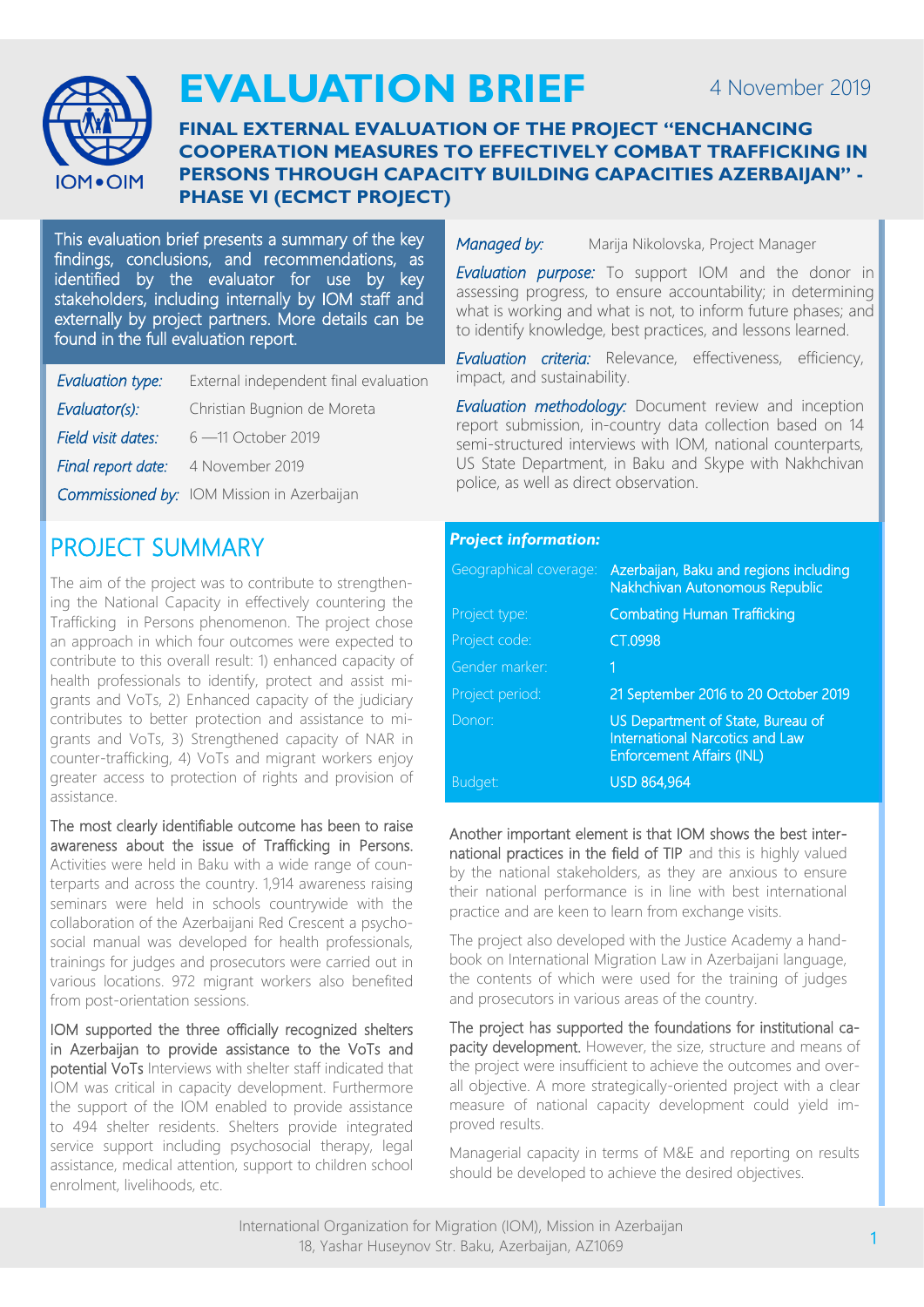

# **EVALUATION BRIEF**

### **FINAL EXTERNAL EVALUATION OF THE PROJECT "ENCHANCING COOPERATION MEASURES TO EFFECTIVELY COMBAT TRAFFICKING IN PERSONS THROUGH CAPACITY BUILDING CAPACITIES AZERBAIJAN" - PHASE VI (ECMCT PROJECT)**

This evaluation brief presents a summary of the key findings, conclusions, and recommendations, as identified by the evaluator for use by key stakeholders, including internally by IOM staff and externally by project partners. More details can be found in the full evaluation report.

| Evaluation type:   | External independent final evaluation             |
|--------------------|---------------------------------------------------|
| Evaluator(s):      | Christian Bugnion de Moreta                       |
| Field visit dates: | 6 – 11 October 2019                               |
| Final report date: | 4 November 2019                                   |
|                    | <b>Commissioned by:</b> IOM Mission in Azerbaijan |
|                    |                                                   |

# PROJECT SUMMARY

The aim of the project was to contribute to strengthening the National Capacity in effectively countering the Trafficking in Persons phenomenon. The project chose an approach in which four outcomes were expected to contribute to this overall result: 1) enhanced capacity of health professionals to identify, protect and assist migrants and VoTs, 2) Enhanced capacity of the judiciary contributes to better protection and assistance to migrants and VoTs, 3) Strengthened capacity of NAR in counter-trafficking, 4) VoTs and migrant workers enjoy greater access to protection of rights and provision of assistance.

The most clearly identifiable outcome has been to raise awareness about the issue of Trafficking in Persons. Activities were held in Baku with a wide range of counterparts and across the country. 1,914 awareness raising seminars were held in schools countrywide with the collaboration of the Azerbaijani Red Crescent a psychosocial manual was developed for health professionals, trainings for judges and prosecutors were carried out in various locations. 972 migrant workers also benefited from post-orientation sessions.

IOM supported the three officially recognized shelters in Azerbaijan to provide assistance to the VoTs and potential VoTs Interviews with shelter staff indicated that IOM was critical in capacity development. Furthermore the support of the IOM enabled to provide assistance to 494 shelter residents. Shelters provide integrated service support including psychosocial therapy, legal assistance, medical attention, support to children school enrolment, livelihoods, etc.

#### *Managed by:* Marija Nikolovska, Project Manager

*Evaluation purpose:* To support IOM and the donor in assessing progress, to ensure accountability; in determining what is working and what is not, to inform future phases; and to identify knowledge, best practices, and lessons learned.

*Evaluation criteria:* Relevance, effectiveness, efficiency, impact, and sustainability.

*Evaluation methodology:* Document review and inception report submission, in-country data collection based on 14 semi-structured interviews with IOM, national counterparts, US State Department, in Baku and Skype with Nakhchivan police, as well as direct observation.

### *Project information:*

| Geographical coverage: | Azerbaijan, Baku and regions including<br>Nakhchivan Autonomous Republic                                        |
|------------------------|-----------------------------------------------------------------------------------------------------------------|
| Project type:          | <b>Combating Human Trafficking</b>                                                                              |
| Project code:          | CT.0998                                                                                                         |
| Gender marker:         | 1                                                                                                               |
| Project period:        | 21 September 2016 to 20 October 2019                                                                            |
| Donor:                 | US Department of State, Bureau of<br><b>International Narcotics and Law</b><br><b>Enforcement Affairs (INL)</b> |
| Budget:                | <b>USD 864,964</b>                                                                                              |

Another important element is that IOM shows the best international practices in the field of TIP and this is highly valued by the national stakeholders, as they are anxious to ensure their national performance is in line with best international practice and are keen to learn from exchange visits.

The project also developed with the Justice Academy a handbook on International Migration Law in Azerbaijani language, the contents of which were used for the training of judges and prosecutors in various areas of the country.

The project has supported the foundations for institutional capacity development. However, the size, structure and means of the project were insufficient to achieve the outcomes and overall objective. A more strategically-oriented project with a clear measure of national capacity development could yield improved results.

Managerial capacity in terms of M&E and reporting on results should be developed to achieve the desired objectives.